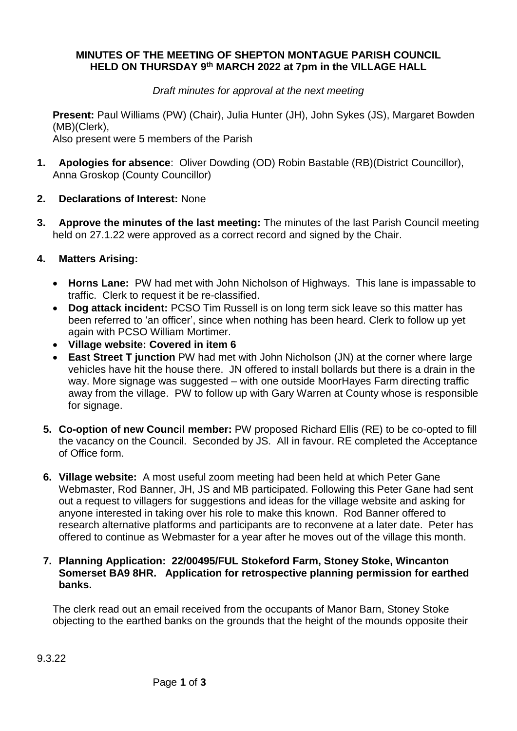### **MINUTES OF THE MEETING OF SHEPTON MONTAGUE PARISH COUNCIL HELD ON THURSDAY 9 th MARCH 2022 at 7pm in the VILLAGE HALL**

### *Draft minutes for approval at the next meeting*

**Present:** Paul Williams (PW) (Chair), Julia Hunter (JH), John Sykes (JS), Margaret Bowden (MB)(Clerk),

Also present were 5 members of the Parish

- **1. Apologies for absence**: Oliver Dowding (OD) Robin Bastable (RB)(District Councillor), Anna Groskop (County Councillor)
- **2. Declarations of Interest:** None
- **3. Approve the minutes of the last meeting:** The minutes of the last Parish Council meeting held on 27.1.22 were approved as a correct record and signed by the Chair.

# **4. Matters Arising:**

- **Horns Lane:** PW had met with John Nicholson of Highways. This lane is impassable to traffic. Clerk to request it be re-classified.
- **Dog attack incident:** PCSO Tim Russell is on long term sick leave so this matter has been referred to 'an officer', since when nothing has been heard. Clerk to follow up yet again with PCSO William Mortimer.
- **Village website: Covered in item 6**
- **East Street T junction** PW had met with John Nicholson (JN) at the corner where large vehicles have hit the house there. JN offered to install bollards but there is a drain in the way. More signage was suggested – with one outside MoorHayes Farm directing traffic away from the village. PW to follow up with Gary Warren at County whose is responsible for signage.
- **5. Co-option of new Council member:** PW proposed Richard Ellis (RE) to be co-opted to fill the vacancy on the Council. Seconded by JS. All in favour. RE completed the Acceptance of Office form.
- **6. Village website:** A most useful zoom meeting had been held at which Peter Gane Webmaster, Rod Banner, JH, JS and MB participated. Following this Peter Gane had sent out a request to villagers for suggestions and ideas for the village website and asking for anyone interested in taking over his role to make this known. Rod Banner offered to research alternative platforms and participants are to reconvene at a later date. Peter has offered to continue as Webmaster for a year after he moves out of the village this month.

#### **7. Planning Application: 22/00495/FUL Stokeford Farm, Stoney Stoke, Wincanton Somerset BA9 8HR. Application for retrospective planning permission for earthed banks.**

The clerk read out an email received from the occupants of Manor Barn, Stoney Stoke objecting to the earthed banks on the grounds that the height of the mounds opposite their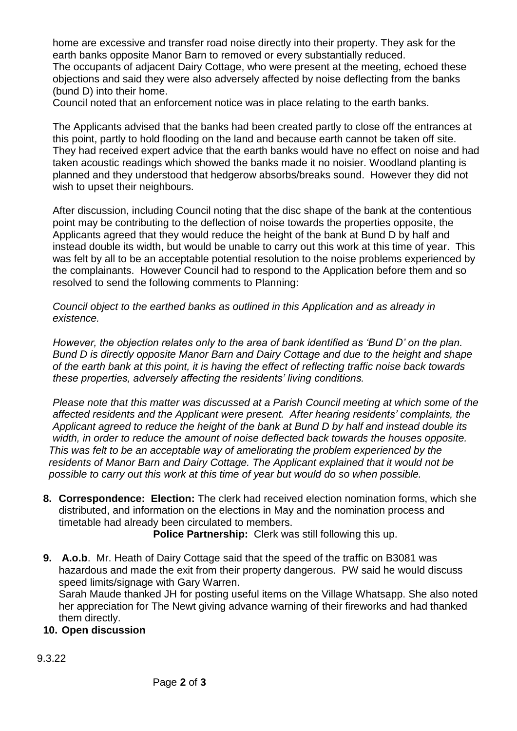home are excessive and transfer road noise directly into their property. They ask for the earth banks opposite Manor Barn to removed or every substantially reduced.

The occupants of adjacent Dairy Cottage, who were present at the meeting, echoed these objections and said they were also adversely affected by noise deflecting from the banks (bund D) into their home.

Council noted that an enforcement notice was in place relating to the earth banks.

The Applicants advised that the banks had been created partly to close off the entrances at this point, partly to hold flooding on the land and because earth cannot be taken off site. They had received expert advice that the earth banks would have no effect on noise and had taken acoustic readings which showed the banks made it no noisier. Woodland planting is planned and they understood that hedgerow absorbs/breaks sound. However they did not wish to upset their neighbours.

After discussion, including Council noting that the disc shape of the bank at the contentious point may be contributing to the deflection of noise towards the properties opposite, the Applicants agreed that they would reduce the height of the bank at Bund D by half and instead double its width, but would be unable to carry out this work at this time of year. This was felt by all to be an acceptable potential resolution to the noise problems experienced by the complainants. However Council had to respond to the Application before them and so resolved to send the following comments to Planning:

*Council object to the earthed banks as outlined in this Application and as already in existence.* 

*However, the objection relates only to the area of bank identified as 'Bund D' on the plan. Bund D is directly opposite Manor Barn and Dairy Cottage and due to the height and shape of the earth bank at this point, it is having the effect of reflecting traffic noise back towards these properties, adversely affecting the residents' living conditions.*

*Please note that this matter was discussed at a Parish Council meeting at which some of the affected residents and the Applicant were present. After hearing residents' complaints, the Applicant agreed to reduce the height of the bank at Bund D by half and instead double its width, in order to reduce the amount of noise deflected back towards the houses opposite. This was felt to be an acceptable way of ameliorating the problem experienced by the residents of Manor Barn and Dairy Cottage. The Applicant explained that it would not be possible to carry out this work at this time of year but would do so when possible.*

**8. Correspondence: Election:** The clerk had received election nomination forms, which she distributed, and information on the elections in May and the nomination process and timetable had already been circulated to members.

 **Police Partnership:** Clerk was still following this up.

**9. A.o.b**. Mr. Heath of Dairy Cottage said that the speed of the traffic on B3081 was hazardous and made the exit from their property dangerous. PW said he would discuss speed limits/signage with Gary Warren.

Sarah Maude thanked JH for posting useful items on the Village Whatsapp. She also noted her appreciation for The Newt giving advance warning of their fireworks and had thanked them directly.

# **10. Open discussion**

9.3.22